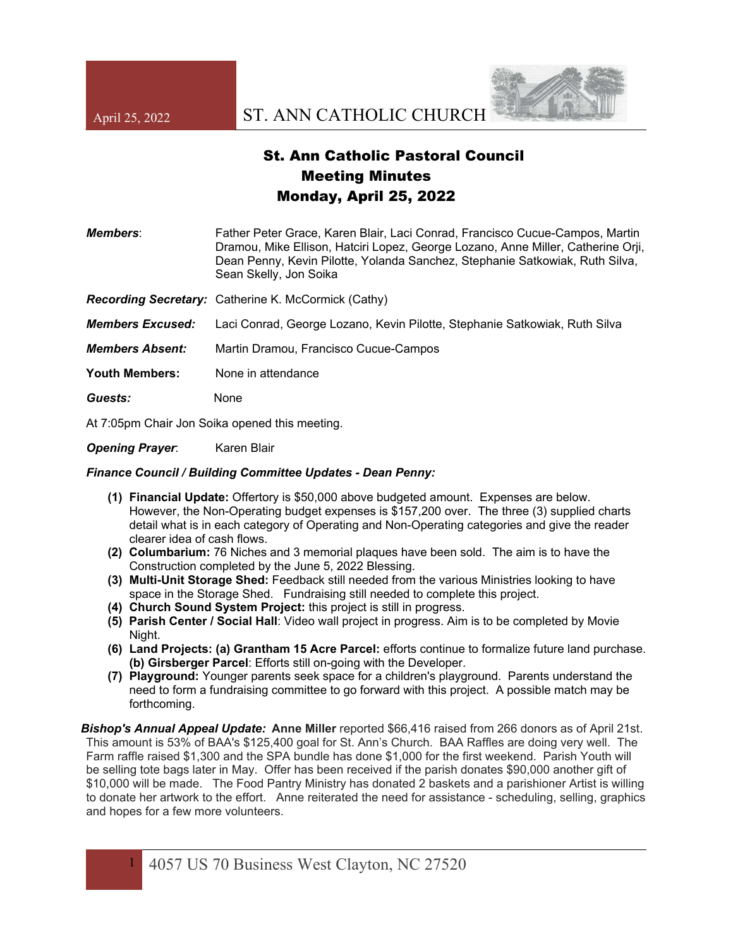

## St. Ann Catholic Pastoral Council Meeting Minutes Monday, April 25, 2022

*Members*: Father Peter Grace, Karen Blair, Laci Conrad, Francisco Cucue-Campos, Martin Dramou, Mike Ellison, Hatciri Lopez, George Lozano, Anne Miller, Catherine Orji, Dean Penny, Kevin Pilotte, Yolanda Sanchez, Stephanie Satkowiak, Ruth Silva, Sean Skelly, Jon Soika

*Recording Secretary:* Catherine K. McCormick (Cathy)

*Members Excused:* Laci Conrad, George Lozano, Kevin Pilotte, Stephanie Satkowiak, Ruth Silva

*Members Absent:* Martin Dramou, Francisco Cucue-Campos

**Youth Members:** None in attendance

*Guests:* None

At 7:05pm Chair Jon Soika opened this meeting.

**Opening Prayer:** Karen Blair

## *Finance Council / Building Committee Updates - Dean Penny:*

- **(1) Financial Update:** Offertory is \$50,000 above budgeted amount. Expenses are below. However, the Non-Operating budget expenses is \$157,200 over. The three (3) supplied charts detail what is in each category of Operating and Non-Operating categories and give the reader clearer idea of cash flows.
- **(2) Columbarium:** 76 Niches and 3 memorial plaques have been sold. The aim is to have the Construction completed by the June 5, 2022 Blessing.
- **(3) Multi-Unit Storage Shed:** Feedback still needed from the various Ministries looking to have space in the Storage Shed. Fundraising still needed to complete this project.
- **(4) Church Sound System Project:** this project is still in progress.
- **(5) Parish Center / Social Hall**: Video wall project in progress. Aim is to be completed by Movie Night.
- **(6) Land Projects: (a) Grantham 15 Acre Parcel:** efforts continue to formalize future land purchase. **(b) Girsberger Parcel**: Efforts still on-going with the Developer.
- **(7) Playground:** Younger parents seek space for a children's playground. Parents understand the need to form a fundraising committee to go forward with this project. A possible match may be forthcoming.

*Bishop's Annual Appeal Update:* **Anne Miller** reported \$66,416 raised from 266 donors as of April 21st. This amount is 53% of BAA's \$125,400 goal for St. Ann's Church. BAA Raffles are doing very well. The Farm raffle raised \$1,300 and the SPA bundle has done \$1,000 for the first weekend. Parish Youth will be selling tote bags later in May. Offer has been received if the parish donates \$90,000 another gift of \$10,000 will be made. The Food Pantry Ministry has donated 2 baskets and a parishioner Artist is willing to donate her artwork to the effort. Anne reiterated the need for assistance - scheduling, selling, graphics and hopes for a few more volunteers.